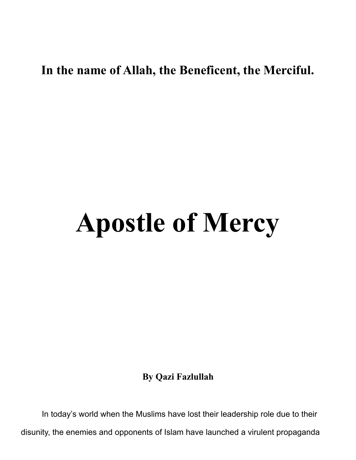## **In the name of Allah, the Beneficent, the Merciful.**

# **Apostle of Mercy**

**By Qazi Fazlullah** 

In today's world when the Muslims have lost their leadership role due to their disunity, the enemies and opponents of Islam have launched a virulent propaganda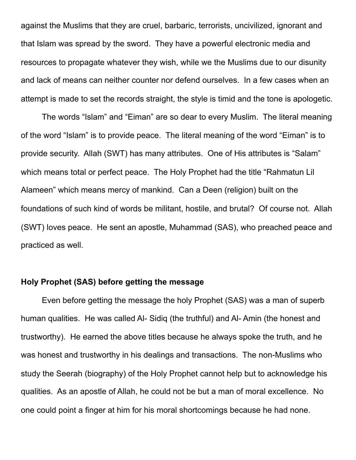against the Muslims that they are cruel, barbaric, terrorists, uncivilized, ignorant and that Islam was spread by the sword. They have a powerful electronic media and resources to propagate whatever they wish, while we the Muslims due to our disunity and lack of means can neither counter nor defend ourselves. In a few cases when an attempt is made to set the records straight, the style is timid and the tone is apologetic.

The words "Islam" and "Eiman" are so dear to every Muslim. The literal meaning of the word "Islam" is to provide peace. The literal meaning of the word "Eiman" is to provide security. Allah (SWT) has many attributes. One of His attributes is "Salam" which means total or perfect peace. The Holy Prophet had the title "Rahmatun Lil Alameen" which means mercy of mankind. Can a Deen (religion) built on the foundations of such kind of words be militant, hostile, and brutal? Of course not. Allah (SWT) loves peace. He sent an apostle, Muhammad (SAS), who preached peace and practiced as well.

### **Holy Prophet (SAS) before getting the message**

Even before getting the message the holy Prophet (SAS) was a man of superb human qualities. He was called Al- Sidiq (the truthful) and Al- Amin (the honest and trustworthy). He earned the above titles because he always spoke the truth, and he was honest and trustworthy in his dealings and transactions. The non-Muslims who study the Seerah (biography) of the Holy Prophet cannot help but to acknowledge his qualities. As an apostle of Allah, he could not be but a man of moral excellence. No one could point a finger at him for his moral shortcomings because he had none.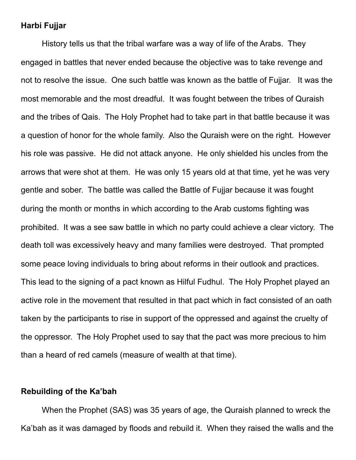#### **Harbi Fujjar**

History tells us that the tribal warfare was a way of life of the Arabs. They engaged in battles that never ended because the objective was to take revenge and not to resolve the issue. One such battle was known as the battle of Fujjar. It was the most memorable and the most dreadful. It was fought between the tribes of Quraish and the tribes of Qais. The Holy Prophet had to take part in that battle because it was a question of honor for the whole family. Also the Quraish were on the right. However his role was passive. He did not attack anyone. He only shielded his uncles from the arrows that were shot at them. He was only 15 years old at that time, yet he was very gentle and sober. The battle was called the Battle of Fujjar because it was fought during the month or months in which according to the Arab customs fighting was prohibited. It was a see saw battle in which no party could achieve a clear victory. The death toll was excessively heavy and many families were destroyed. That prompted some peace loving individuals to bring about reforms in their outlook and practices. This lead to the signing of a pact known as Hilful Fudhul. The Holy Prophet played an active role in the movement that resulted in that pact which in fact consisted of an oath taken by the participants to rise in support of the oppressed and against the cruelty of the oppressor. The Holy Prophet used to say that the pact was more precious to him than a heard of red camels (measure of wealth at that time).

#### **Rebuilding of the Ka'bah**

When the Prophet (SAS) was 35 years of age, the Quraish planned to wreck the Ka'bah as it was damaged by floods and rebuild it. When they raised the walls and the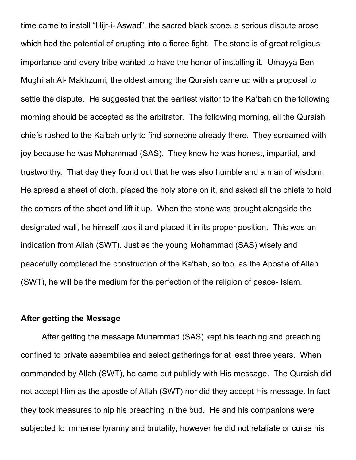time came to install "Hijr-i- Aswad", the sacred black stone, a serious dispute arose which had the potential of erupting into a fierce fight. The stone is of great religious importance and every tribe wanted to have the honor of installing it. Umayya Ben Mughirah Al- Makhzumi, the oldest among the Quraish came up with a proposal to settle the dispute. He suggested that the earliest visitor to the Ka'bah on the following morning should be accepted as the arbitrator. The following morning, all the Quraish chiefs rushed to the Ka'bah only to find someone already there. They screamed with joy because he was Mohammad (SAS). They knew he was honest, impartial, and trustworthy. That day they found out that he was also humble and a man of wisdom. He spread a sheet of cloth, placed the holy stone on it, and asked all the chiefs to hold the corners of the sheet and lift it up. When the stone was brought alongside the designated wall, he himself took it and placed it in its proper position. This was an indication from Allah (SWT). Just as the young Mohammad (SAS) wisely and peacefully completed the construction of the Ka'bah, so too, as the Apostle of Allah (SWT), he will be the medium for the perfection of the religion of peace- Islam.

#### **After getting the Message**

After getting the message Muhammad (SAS) kept his teaching and preaching confined to private assemblies and select gatherings for at least three years. When commanded by Allah (SWT), he came out publicly with His message. The Quraish did not accept Him as the apostle of Allah (SWT) nor did they accept His message. In fact they took measures to nip his preaching in the bud. He and his companions were subjected to immense tyranny and brutality; however he did not retaliate or curse his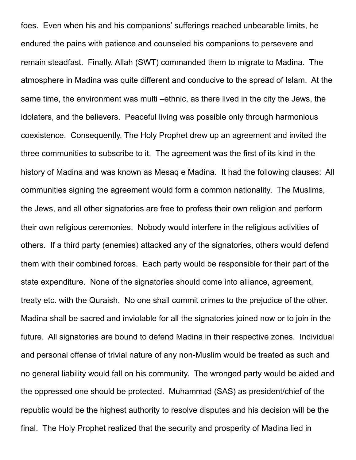foes. Even when his and his companions' sufferings reached unbearable limits, he endured the pains with patience and counseled his companions to persevere and remain steadfast. Finally, Allah (SWT) commanded them to migrate to Madina. The atmosphere in Madina was quite different and conducive to the spread of Islam. At the same time, the environment was multi –ethnic, as there lived in the city the Jews, the idolaters, and the believers. Peaceful living was possible only through harmonious coexistence. Consequently, The Holy Prophet drew up an agreement and invited the three communities to subscribe to it. The agreement was the first of its kind in the history of Madina and was known as Mesaq e Madina. It had the following clauses: All communities signing the agreement would form a common nationality. The Muslims, the Jews, and all other signatories are free to profess their own religion and perform their own religious ceremonies. Nobody would interfere in the religious activities of others. If a third party (enemies) attacked any of the signatories, others would defend them with their combined forces. Each party would be responsible for their part of the state expenditure. None of the signatories should come into alliance, agreement, treaty etc. with the Quraish. No one shall commit crimes to the prejudice of the other. Madina shall be sacred and inviolable for all the signatories joined now or to join in the future. All signatories are bound to defend Madina in their respective zones. Individual and personal offense of trivial nature of any non-Muslim would be treated as such and no general liability would fall on his community. The wronged party would be aided and the oppressed one should be protected. Muhammad (SAS) as president/chief of the republic would be the highest authority to resolve disputes and his decision will be the final. The Holy Prophet realized that the security and prosperity of Madina lied in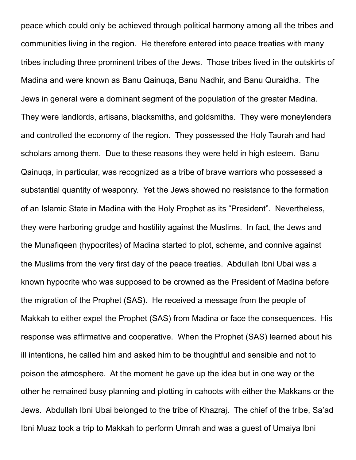peace which could only be achieved through political harmony among all the tribes and communities living in the region. He therefore entered into peace treaties with many tribes including three prominent tribes of the Jews. Those tribes lived in the outskirts of Madina and were known as Banu Qainuqa, Banu Nadhir, and Banu Quraidha. The Jews in general were a dominant segment of the population of the greater Madina. They were landlords, artisans, blacksmiths, and goldsmiths. They were moneylenders and controlled the economy of the region. They possessed the Holy Taurah and had scholars among them. Due to these reasons they were held in high esteem. Banu Qainuqa, in particular, was recognized as a tribe of brave warriors who possessed a substantial quantity of weaponry. Yet the Jews showed no resistance to the formation of an Islamic State in Madina with the Holy Prophet as its "President". Nevertheless, they were harboring grudge and hostility against the Muslims. In fact, the Jews and the Munafiqeen (hypocrites) of Madina started to plot, scheme, and connive against the Muslims from the very first day of the peace treaties. Abdullah Ibni Ubai was a known hypocrite who was supposed to be crowned as the President of Madina before the migration of the Prophet (SAS). He received a message from the people of Makkah to either expel the Prophet (SAS) from Madina or face the consequences. His response was affirmative and cooperative. When the Prophet (SAS) learned about his ill intentions, he called him and asked him to be thoughtful and sensible and not to poison the atmosphere. At the moment he gave up the idea but in one way or the other he remained busy planning and plotting in cahoots with either the Makkans or the Jews. Abdullah Ibni Ubai belonged to the tribe of Khazraj. The chief of the tribe, Sa'ad Ibni Muaz took a trip to Makkah to perform Umrah and was a guest of Umaiya Ibni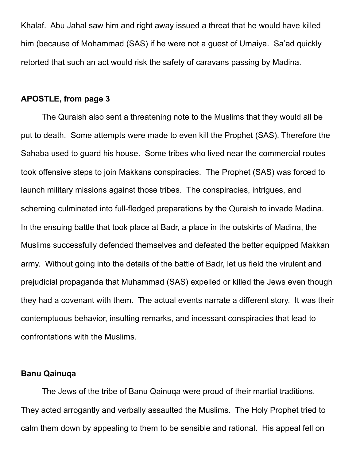Khalaf. Abu Jahal saw him and right away issued a threat that he would have killed him (because of Mohammad (SAS) if he were not a guest of Umaiya. Sa'ad quickly retorted that such an act would risk the safety of caravans passing by Madina.

#### **APOSTLE, from page 3**

The Quraish also sent a threatening note to the Muslims that they would all be put to death. Some attempts were made to even kill the Prophet (SAS). Therefore the Sahaba used to guard his house. Some tribes who lived near the commercial routes took offensive steps to join Makkans conspiracies. The Prophet (SAS) was forced to launch military missions against those tribes. The conspiracies, intrigues, and scheming culminated into full-fledged preparations by the Quraish to invade Madina. In the ensuing battle that took place at Badr, a place in the outskirts of Madina, the Muslims successfully defended themselves and defeated the better equipped Makkan army. Without going into the details of the battle of Badr, let us field the virulent and prejudicial propaganda that Muhammad (SAS) expelled or killed the Jews even though they had a covenant with them. The actual events narrate a different story. It was their contemptuous behavior, insulting remarks, and incessant conspiracies that lead to confrontations with the Muslims.

#### **Banu Qainuqa**

The Jews of the tribe of Banu Qainuqa were proud of their martial traditions. They acted arrogantly and verbally assaulted the Muslims. The Holy Prophet tried to calm them down by appealing to them to be sensible and rational. His appeal fell on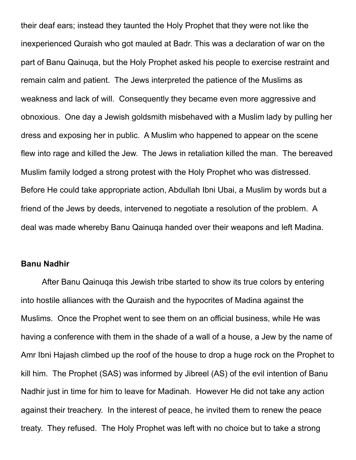their deaf ears; instead they taunted the Holy Prophet that they were not like the inexperienced Quraish who got mauled at Badr. This was a declaration of war on the part of Banu Qainuqa, but the Holy Prophet asked his people to exercise restraint and remain calm and patient. The Jews interpreted the patience of the Muslims as weakness and lack of will. Consequently they became even more aggressive and obnoxious. One day a Jewish goldsmith misbehaved with a Muslim lady by pulling her dress and exposing her in public. A Muslim who happened to appear on the scene flew into rage and killed the Jew. The Jews in retaliation killed the man. The bereaved Muslim family lodged a strong protest with the Holy Prophet who was distressed. Before He could take appropriate action, Abdullah Ibni Ubai, a Muslim by words but a friend of the Jews by deeds, intervened to negotiate a resolution of the problem. A deal was made whereby Banu Qainuqa handed over their weapons and left Madina.

#### **Banu Nadhir**

After Banu Qainuqa this Jewish tribe started to show its true colors by entering into hostile alliances with the Quraish and the hypocrites of Madina against the Muslims. Once the Prophet went to see them on an official business, while He was having a conference with them in the shade of a wall of a house, a Jew by the name of Amr Ibni Hajash climbed up the roof of the house to drop a huge rock on the Prophet to kill him. The Prophet (SAS) was informed by Jibreel (AS) of the evil intention of Banu Nadhir just in time for him to leave for Madinah. However He did not take any action against their treachery. In the interest of peace, he invited them to renew the peace treaty. They refused. The Holy Prophet was left with no choice but to take a strong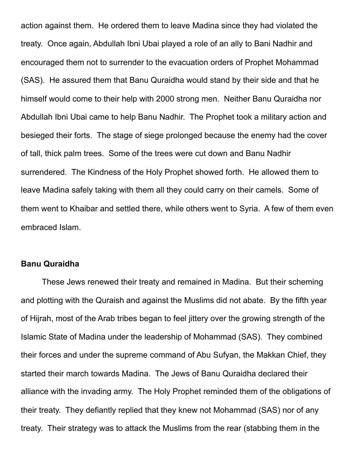action against them. He ordered them to leave Madina since they had violated the treaty. Once again, Abdullah Ibni Ubai played a role of an ally to Bani Nadhir and encouraged them not to surrender to the evacuation orders of Prophet Mohammad (SAS). He assured them that Banu Quraidha would stand by their side and that he himself would come to their help with 2000 strong men. Neither Banu Quraidha nor Abdullah Ibni Ubai came to help Banu Nadhir. The Prophet took a military action and besieged their forts. The stage of siege prolonged because the enemy had the cover of tall, thick palm trees. Some of the trees were cut down and Banu Nadhir surrendered. The Kindness of the Holy Prophet showed forth. He allowed them to leave Madina safely taking with them all they could carry on their camels. Some of them went to Khaibar and settled there, while others went to Syria. A few of them even embraced Islam.

#### **Banu Quraidha**

These Jews renewed their treaty and remained in Madina. But their scheming and plotting with the Quraish and against the Muslims did not abate. By the fifth year of Hijrah, most of the Arab tribes began to feel jittery over the growing strength of the Islamic State of Madina under the leadership of Mohammad (SAS). They combined their forces and under the supreme command of Abu Sufyan, the Makkan Chief, they started their march towards Madina. The Jews of Banu Quraidha declared their alliance with the invading army. The Holy Prophet reminded them of the obligations of their treaty. They defiantly replied that they knew not Mohammad (SAS) nor of any treaty. Their strategy was to attack the Muslims from the rear (stabbing them in the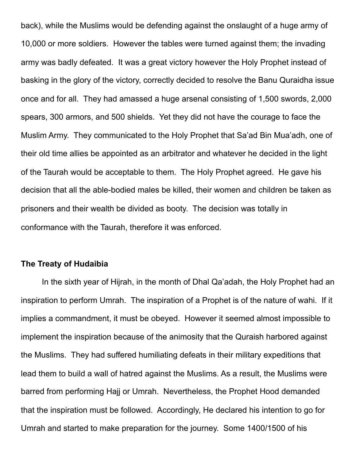back), while the Muslims would be defending against the onslaught of a huge army of 10,000 or more soldiers. However the tables were turned against them; the invading army was badly defeated. It was a great victory however the Holy Prophet instead of basking in the glory of the victory, correctly decided to resolve the Banu Quraidha issue once and for all. They had amassed a huge arsenal consisting of 1,500 swords, 2,000 spears, 300 armors, and 500 shields. Yet they did not have the courage to face the Muslim Army. They communicated to the Holy Prophet that Sa'ad Bin Mua'adh, one of their old time allies be appointed as an arbitrator and whatever he decided in the light of the Taurah would be acceptable to them. The Holy Prophet agreed. He gave his decision that all the able-bodied males be killed, their women and children be taken as prisoners and their wealth be divided as booty. The decision was totally in conformance with the Taurah, therefore it was enforced.

#### **The Treaty of Hudaibia**

In the sixth year of Hijrah, in the month of Dhal Qa'adah, the Holy Prophet had an inspiration to perform Umrah. The inspiration of a Prophet is of the nature of wahi. If it implies a commandment, it must be obeyed. However it seemed almost impossible to implement the inspiration because of the animosity that the Quraish harbored against the Muslims. They had suffered humiliating defeats in their military expeditions that lead them to build a wall of hatred against the Muslims. As a result, the Muslims were barred from performing Hajj or Umrah. Nevertheless, the Prophet Hood demanded that the inspiration must be followed. Accordingly, He declared his intention to go for Umrah and started to make preparation for the journey. Some 1400/1500 of his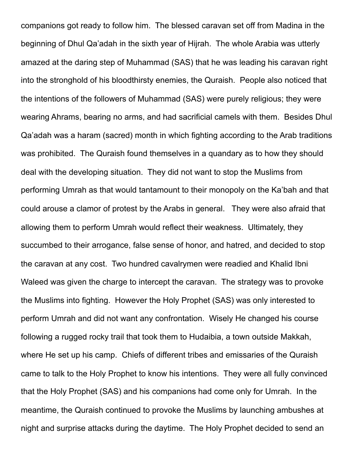companions got ready to follow him. The blessed caravan set off from Madina in the beginning of Dhul Qa'adah in the sixth year of Hijrah. The whole Arabia was utterly amazed at the daring step of Muhammad (SAS) that he was leading his caravan right into the stronghold of his bloodthirsty enemies, the Quraish. People also noticed that the intentions of the followers of Muhammad (SAS) were purely religious; they were wearing Ahrams, bearing no arms, and had sacrificial camels with them. Besides Dhul Qa'adah was a haram (sacred) month in which fighting according to the Arab traditions was prohibited. The Quraish found themselves in a quandary as to how they should deal with the developing situation. They did not want to stop the Muslims from performing Umrah as that would tantamount to their monopoly on the Ka'bah and that could arouse a clamor of protest by the Arabs in general. They were also afraid that allowing them to perform Umrah would reflect their weakness. Ultimately, they succumbed to their arrogance, false sense of honor, and hatred, and decided to stop the caravan at any cost. Two hundred cavalrymen were readied and Khalid Ibni Waleed was given the charge to intercept the caravan. The strategy was to provoke the Muslims into fighting. However the Holy Prophet (SAS) was only interested to perform Umrah and did not want any confrontation. Wisely He changed his course following a rugged rocky trail that took them to Hudaibia, a town outside Makkah, where He set up his camp. Chiefs of different tribes and emissaries of the Quraish came to talk to the Holy Prophet to know his intentions. They were all fully convinced that the Holy Prophet (SAS) and his companions had come only for Umrah. In the meantime, the Quraish continued to provoke the Muslims by launching ambushes at night and surprise attacks during the daytime. The Holy Prophet decided to send an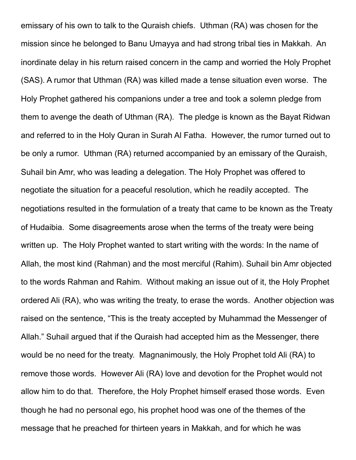emissary of his own to talk to the Quraish chiefs. Uthman (RA) was chosen for the mission since he belonged to Banu Umayya and had strong tribal ties in Makkah. An inordinate delay in his return raised concern in the camp and worried the Holy Prophet (SAS). A rumor that Uthman (RA) was killed made a tense situation even worse. The Holy Prophet gathered his companions under a tree and took a solemn pledge from them to avenge the death of Uthman (RA). The pledge is known as the Bayat Ridwan and referred to in the Holy Quran in Surah Al Fatha. However, the rumor turned out to be only a rumor. Uthman (RA) returned accompanied by an emissary of the Quraish, Suhail bin Amr, who was leading a delegation. The Holy Prophet was offered to negotiate the situation for a peaceful resolution, which he readily accepted. The negotiations resulted in the formulation of a treaty that came to be known as the Treaty of Hudaibia. Some disagreements arose when the terms of the treaty were being written up. The Holy Prophet wanted to start writing with the words: In the name of Allah, the most kind (Rahman) and the most merciful (Rahim). Suhail bin Amr objected to the words Rahman and Rahim. Without making an issue out of it, the Holy Prophet ordered Ali (RA), who was writing the treaty, to erase the words. Another objection was raised on the sentence, "This is the treaty accepted by Muhammad the Messenger of Allah." Suhail argued that if the Quraish had accepted him as the Messenger, there would be no need for the treaty. Magnanimously, the Holy Prophet told Ali (RA) to remove those words. However Ali (RA) love and devotion for the Prophet would not allow him to do that. Therefore, the Holy Prophet himself erased those words. Even though he had no personal ego, his prophet hood was one of the themes of the message that he preached for thirteen years in Makkah, and for which he was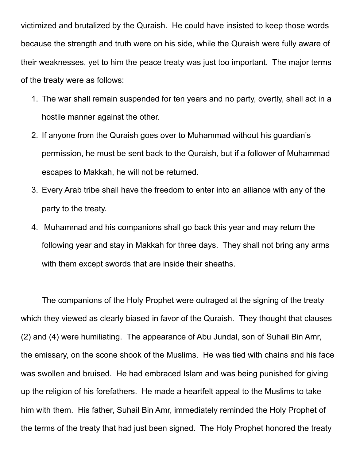victimized and brutalized by the Quraish. He could have insisted to keep those words because the strength and truth were on his side, while the Quraish were fully aware of their weaknesses, yet to him the peace treaty was just too important. The major terms of the treaty were as follows:

- 1. The war shall remain suspended for ten years and no party, overtly, shall act in a hostile manner against the other.
- 2. If anyone from the Quraish goes over to Muhammad without his guardian's permission, he must be sent back to the Quraish, but if a follower of Muhammad escapes to Makkah, he will not be returned.
- 3. Every Arab tribe shall have the freedom to enter into an alliance with any of the party to the treaty.
- 4. Muhammad and his companions shall go back this year and may return the following year and stay in Makkah for three days. They shall not bring any arms with them except swords that are inside their sheaths.

The companions of the Holy Prophet were outraged at the signing of the treaty which they viewed as clearly biased in favor of the Quraish. They thought that clauses (2) and (4) were humiliating. The appearance of Abu Jundal, son of Suhail Bin Amr, the emissary, on the scone shook of the Muslims. He was tied with chains and his face was swollen and bruised. He had embraced Islam and was being punished for giving up the religion of his forefathers. He made a heartfelt appeal to the Muslims to take him with them. His father, Suhail Bin Amr, immediately reminded the Holy Prophet of the terms of the treaty that had just been signed. The Holy Prophet honored the treaty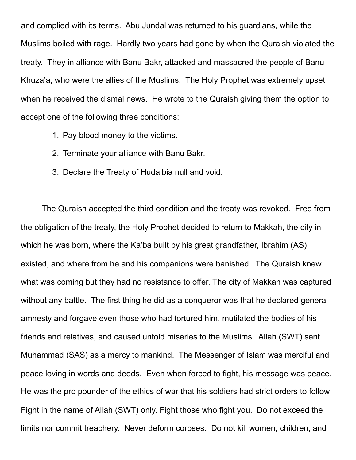and complied with its terms. Abu Jundal was returned to his guardians, while the Muslims boiled with rage. Hardly two years had gone by when the Quraish violated the treaty. They in alliance with Banu Bakr, attacked and massacred the people of Banu Khuza'a, who were the allies of the Muslims. The Holy Prophet was extremely upset when he received the dismal news. He wrote to the Quraish giving them the option to accept one of the following three conditions:

- 1. Pay blood money to the victims.
- 2. Terminate your alliance with Banu Bakr.
- 3. Declare the Treaty of Hudaibia null and void.

The Quraish accepted the third condition and the treaty was revoked. Free from the obligation of the treaty, the Holy Prophet decided to return to Makkah, the city in which he was born, where the Ka'ba built by his great grandfather, Ibrahim (AS) existed, and where from he and his companions were banished. The Quraish knew what was coming but they had no resistance to offer. The city of Makkah was captured without any battle. The first thing he did as a conqueror was that he declared general amnesty and forgave even those who had tortured him, mutilated the bodies of his friends and relatives, and caused untold miseries to the Muslims. Allah (SWT) sent Muhammad (SAS) as a mercy to mankind. The Messenger of Islam was merciful and peace loving in words and deeds. Even when forced to fight, his message was peace. He was the pro pounder of the ethics of war that his soldiers had strict orders to follow: Fight in the name of Allah (SWT) only. Fight those who fight you. Do not exceed the limits nor commit treachery. Never deform corpses. Do not kill women, children, and